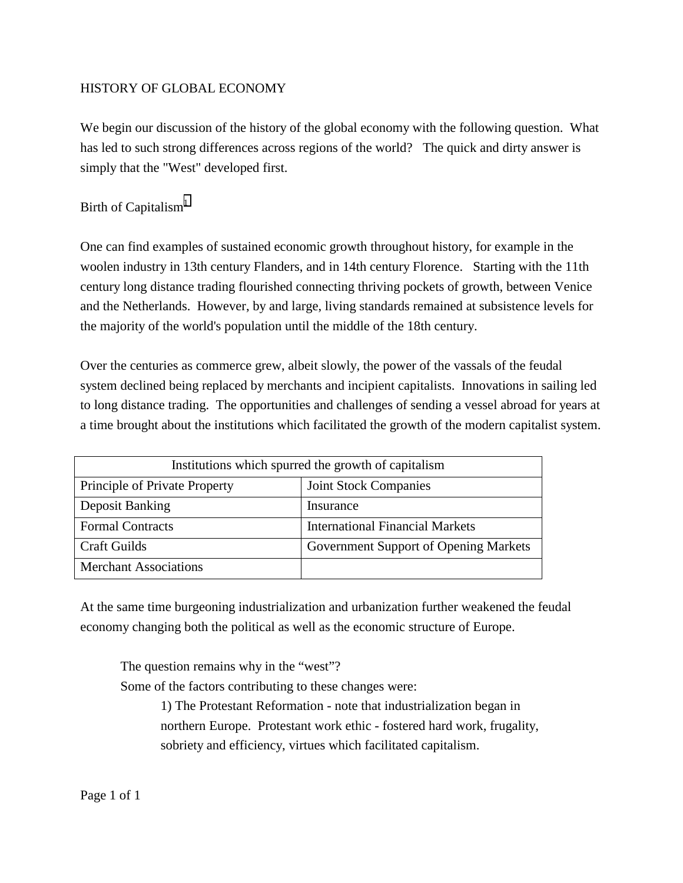# HISTORY OF GLOBAL ECONOMY

We begin our discussion of the history of the global economy with the following question. What has led to such strong differences across regions of the world? The quick and dirty answer is simply that the "West" developed first.

# Birth of Capitalism<sup>[1](#page-8-0)</sup>

One can find examples of sustained economic growth throughout history, for example in the woolen industry in 13th century Flanders, and in 14th century Florence. Starting with the 11th century long distance trading flourished connecting thriving pockets of growth, between Venice and the Netherlands. However, by and large, living standards remained at subsistence levels for the majority of the world's population until the middle of the 18th century.

Over the centuries as commerce grew, albeit slowly, the power of the vassals of the feudal system declined being replaced by merchants and incipient capitalists. Innovations in sailing led to long distance trading. The opportunities and challenges of sending a vessel abroad for years at a time brought about the institutions which facilitated the growth of the modern capitalist system.

| Institutions which spurred the growth of capitalism |                                        |
|-----------------------------------------------------|----------------------------------------|
| Principle of Private Property                       | <b>Joint Stock Companies</b>           |
| Deposit Banking                                     | Insurance                              |
| <b>Formal Contracts</b>                             | <b>International Financial Markets</b> |
| <b>Craft Guilds</b>                                 | Government Support of Opening Markets  |
| <b>Merchant Associations</b>                        |                                        |

At the same time burgeoning industrialization and urbanization further weakened the feudal economy changing both the political as well as the economic structure of Europe.

The question remains why in the "west"?

Some of the factors contributing to these changes were:

1) The Protestant Reformation - note that industrialization began in northern Europe. Protestant work ethic - fostered hard work, frugality, sobriety and efficiency, virtues which facilitated capitalism.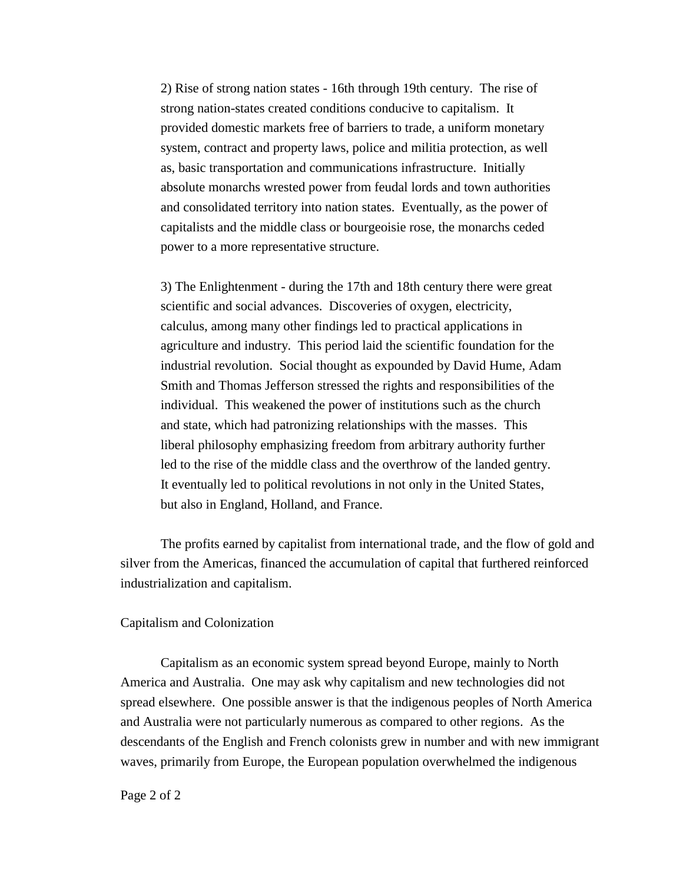2) Rise of strong nation states - 16th through 19th century. The rise of strong nation-states created conditions conducive to capitalism. It provided domestic markets free of barriers to trade, a uniform monetary system, contract and property laws, police and militia protection, as well as, basic transportation and communications infrastructure. Initially absolute monarchs wrested power from feudal lords and town authorities and consolidated territory into nation states. Eventually, as the power of capitalists and the middle class or bourgeoisie rose, the monarchs ceded power to a more representative structure.

3) The Enlightenment - during the 17th and 18th century there were great scientific and social advances. Discoveries of oxygen, electricity, calculus, among many other findings led to practical applications in agriculture and industry. This period laid the scientific foundation for the industrial revolution. Social thought as expounded by David Hume, Adam Smith and Thomas Jefferson stressed the rights and responsibilities of the individual. This weakened the power of institutions such as the church and state, which had patronizing relationships with the masses. This liberal philosophy emphasizing freedom from arbitrary authority further led to the rise of the middle class and the overthrow of the landed gentry. It eventually led to political revolutions in not only in the United States, but also in England, Holland, and France.

The profits earned by capitalist from international trade, and the flow of gold and silver from the Americas, financed the accumulation of capital that furthered reinforced industrialization and capitalism.

#### Capitalism and Colonization

Capitalism as an economic system spread beyond Europe, mainly to North America and Australia. One may ask why capitalism and new technologies did not spread elsewhere. One possible answer is that the indigenous peoples of North America and Australia were not particularly numerous as compared to other regions. As the descendants of the English and French colonists grew in number and with new immigrant waves, primarily from Europe, the European population overwhelmed the indigenous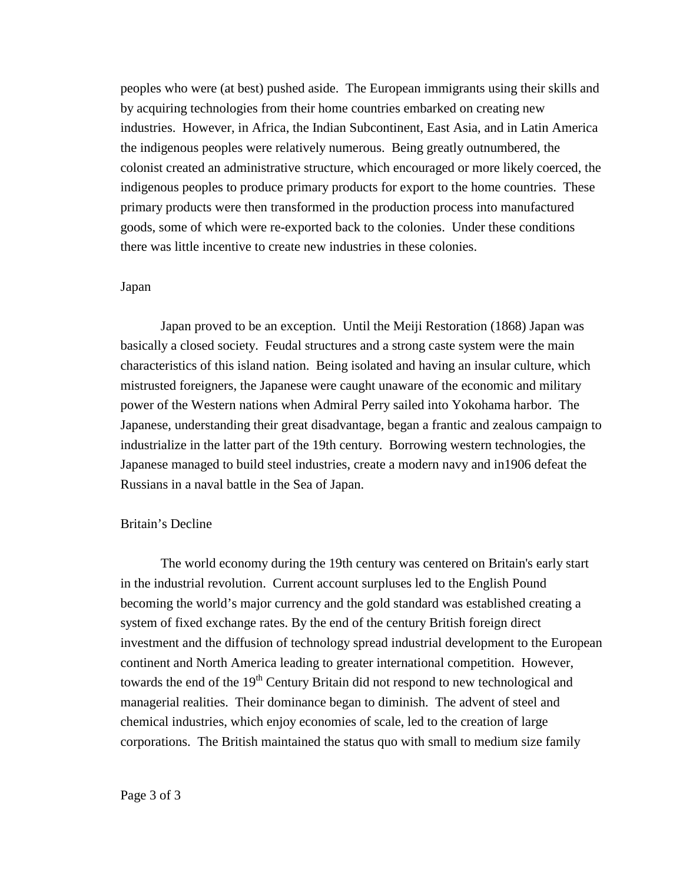peoples who were (at best) pushed aside. The European immigrants using their skills and by acquiring technologies from their home countries embarked on creating new industries. However, in Africa, the Indian Subcontinent, East Asia, and in Latin America the indigenous peoples were relatively numerous. Being greatly outnumbered, the colonist created an administrative structure, which encouraged or more likely coerced, the indigenous peoples to produce primary products for export to the home countries. These primary products were then transformed in the production process into manufactured goods, some of which were re-exported back to the colonies. Under these conditions there was little incentive to create new industries in these colonies.

#### Japan

Japan proved to be an exception. Until the Meiji Restoration (1868) Japan was basically a closed society. Feudal structures and a strong caste system were the main characteristics of this island nation. Being isolated and having an insular culture, which mistrusted foreigners, the Japanese were caught unaware of the economic and military power of the Western nations when Admiral Perry sailed into Yokohama harbor. The Japanese, understanding their great disadvantage, began a frantic and zealous campaign to industrialize in the latter part of the 19th century. Borrowing western technologies, the Japanese managed to build steel industries, create a modern navy and in1906 defeat the Russians in a naval battle in the Sea of Japan.

### Britain's Decline

The world economy during the 19th century was centered on Britain's early start in the industrial revolution. Current account surpluses led to the English Pound becoming the world's major currency and the gold standard was established creating a system of fixed exchange rates. By the end of the century British foreign direct investment and the diffusion of technology spread industrial development to the European continent and North America leading to greater international competition. However, towards the end of the  $19<sup>th</sup>$  Century Britain did not respond to new technological and managerial realities. Their dominance began to diminish. The advent of steel and chemical industries, which enjoy economies of scale, led to the creation of large corporations. The British maintained the status quo with small to medium size family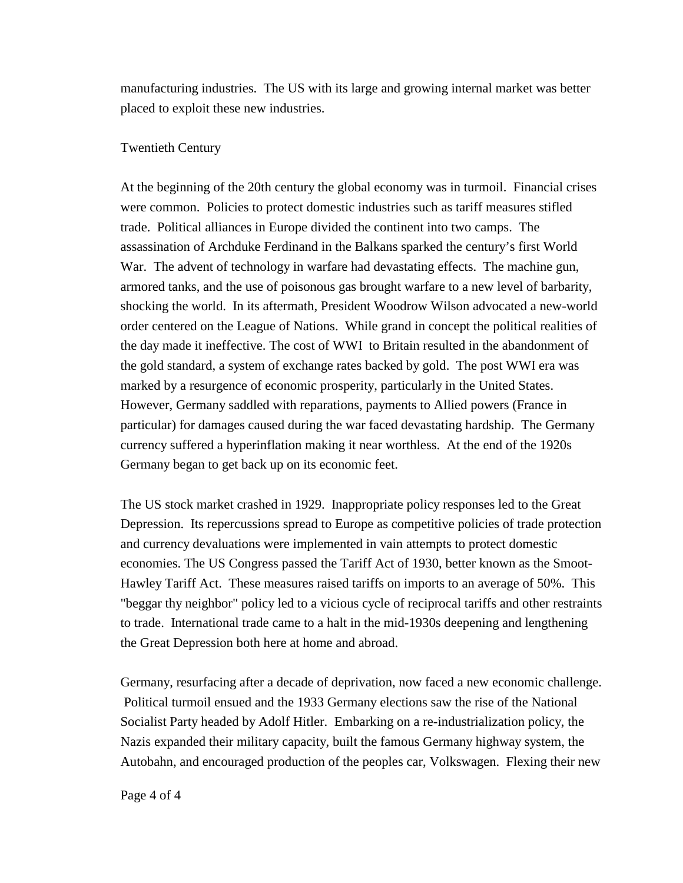manufacturing industries. The US with its large and growing internal market was better placed to exploit these new industries.

### Twentieth Century

At the beginning of the 20th century the global economy was in turmoil. Financial crises were common. Policies to protect domestic industries such as tariff measures stifled trade. Political alliances in Europe divided the continent into two camps. The assassination of Archduke Ferdinand in the Balkans sparked the century's first World War. The advent of technology in warfare had devastating effects. The machine gun, armored tanks, and the use of poisonous gas brought warfare to a new level of barbarity, shocking the world. In its aftermath, President Woodrow Wilson advocated a new-world order centered on the League of Nations. While grand in concept the political realities of the day made it ineffective. The cost of WWI to Britain resulted in the abandonment of the gold standard, a system of exchange rates backed by gold. The post WWI era was marked by a resurgence of economic prosperity, particularly in the United States. However, Germany saddled with reparations, payments to Allied powers (France in particular) for damages caused during the war faced devastating hardship. The Germany currency suffered a hyperinflation making it near worthless. At the end of the 1920s Germany began to get back up on its economic feet.

The US stock market crashed in 1929. Inappropriate policy responses led to the Great Depression. Its repercussions spread to Europe as competitive policies of trade protection and currency devaluations were implemented in vain attempts to protect domestic economies. The US Congress passed the Tariff Act of 1930, better known as the Smoot-Hawley Tariff Act. These measures raised tariffs on imports to an average of 50%. This "beggar thy neighbor" policy led to a vicious cycle of reciprocal tariffs and other restraints to trade. International trade came to a halt in the mid-1930s deepening and lengthening the Great Depression both here at home and abroad.

Germany, resurfacing after a decade of deprivation, now faced a new economic challenge. Political turmoil ensued and the 1933 Germany elections saw the rise of the National Socialist Party headed by Adolf Hitler. Embarking on a re-industrialization policy, the Nazis expanded their military capacity, built the famous Germany highway system, the Autobahn, and encouraged production of the peoples car, Volkswagen. Flexing their new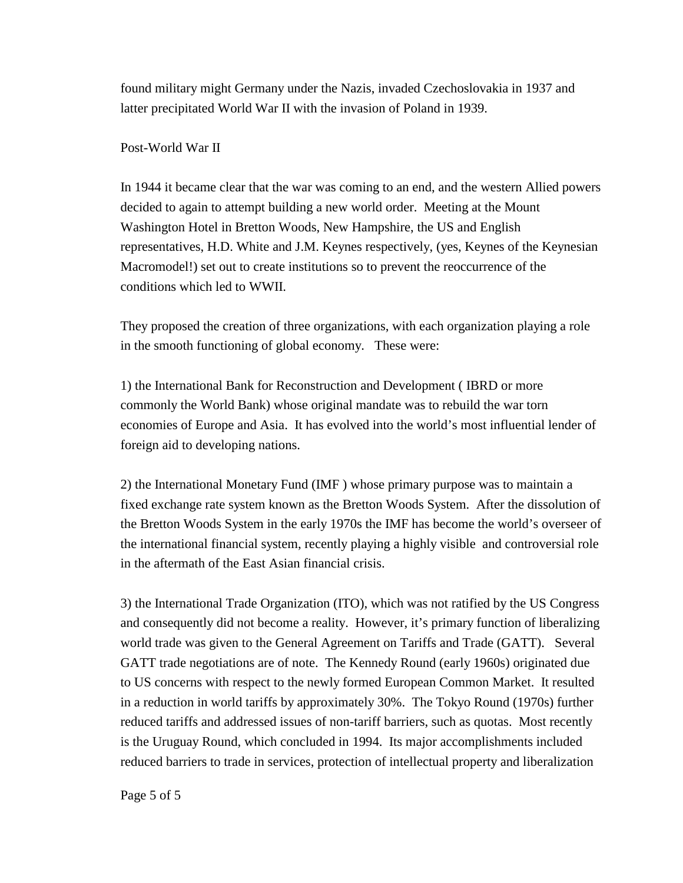found military might Germany under the Nazis, invaded Czechoslovakia in 1937 and latter precipitated World War II with the invasion of Poland in 1939.

Post-World War II

In 1944 it became clear that the war was coming to an end, and the western Allied powers decided to again to attempt building a new world order. Meeting at the Mount Washington Hotel in Bretton Woods, New Hampshire, the US and English representatives, H.D. White and J.M. Keynes respectively, (yes, Keynes of the Keynesian Macromodel!) set out to create institutions so to prevent the reoccurrence of the conditions which led to WWII.

They proposed the creation of three organizations, with each organization playing a role in the smooth functioning of global economy. These were:

1) the International Bank for Reconstruction and Development ( IBRD or more commonly the World Bank) whose original mandate was to rebuild the war torn economies of Europe and Asia. It has evolved into the world's most influential lender of foreign aid to developing nations.

2) the International Monetary Fund (IMF ) whose primary purpose was to maintain a fixed exchange rate system known as the Bretton Woods System. After the dissolution of the Bretton Woods System in the early 1970s the IMF has become the world's overseer of the international financial system, recently playing a highly visible and controversial role in the aftermath of the East Asian financial crisis.

3) the International Trade Organization (ITO), which was not ratified by the US Congress and consequently did not become a reality. However, it's primary function of liberalizing world trade was given to the General Agreement on Tariffs and Trade (GATT). Several GATT trade negotiations are of note. The Kennedy Round (early 1960s) originated due to US concerns with respect to the newly formed European Common Market. It resulted in a reduction in world tariffs by approximately 30%. The Tokyo Round (1970s) further reduced tariffs and addressed issues of non-tariff barriers, such as quotas. Most recently is the Uruguay Round, which concluded in 1994. Its major accomplishments included reduced barriers to trade in services, protection of intellectual property and liberalization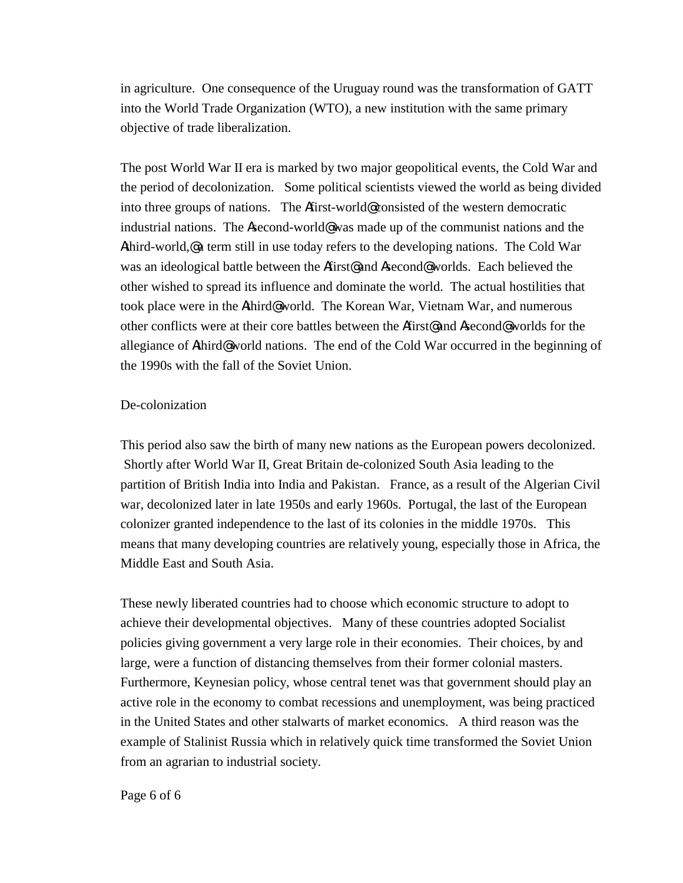in agriculture. One consequence of the Uruguay round was the transformation of GATT into the World Trade Organization (WTO), a new institution with the same primary objective of trade liberalization.

The post World War II era is marked by two major geopolitical events, the Cold War and the period of decolonization. Some political scientists viewed the world as being divided into three groups of nations. The Afirst-world@ consisted of the western democratic industrial nations. The Asecond-world<sup>®</sup> was made up of the communist nations and the Athird-world,@ a term still in use today refers to the developing nations. The Cold War was an ideological battle between the Afirst<sup>@</sup> and Asecond<sup>@</sup> worlds. Each believed the other wished to spread its influence and dominate the world. The actual hostilities that took place were in the Athird@ world. The Korean War, Vietnam War, and numerous other conflicts were at their core battles between the Afirst@ and Asecond@ worlds for the allegiance of Athird@ world nations. The end of the Cold War occurred in the beginning of the 1990s with the fall of the Soviet Union.

## De-colonization

This period also saw the birth of many new nations as the European powers decolonized. Shortly after World War II, Great Britain de-colonized South Asia leading to the partition of British India into India and Pakistan. France, as a result of the Algerian Civil war, decolonized later in late 1950s and early 1960s. Portugal, the last of the European colonizer granted independence to the last of its colonies in the middle 1970s. This means that many developing countries are relatively young, especially those in Africa, the Middle East and South Asia.

These newly liberated countries had to choose which economic structure to adopt to achieve their developmental objectives. Many of these countries adopted Socialist policies giving government a very large role in their economies. Their choices, by and large, were a function of distancing themselves from their former colonial masters. Furthermore, Keynesian policy, whose central tenet was that government should play an active role in the economy to combat recessions and unemployment, was being practiced in the United States and other stalwarts of market economics. A third reason was the example of Stalinist Russia which in relatively quick time transformed the Soviet Union from an agrarian to industrial society.

#### Page 6 of 6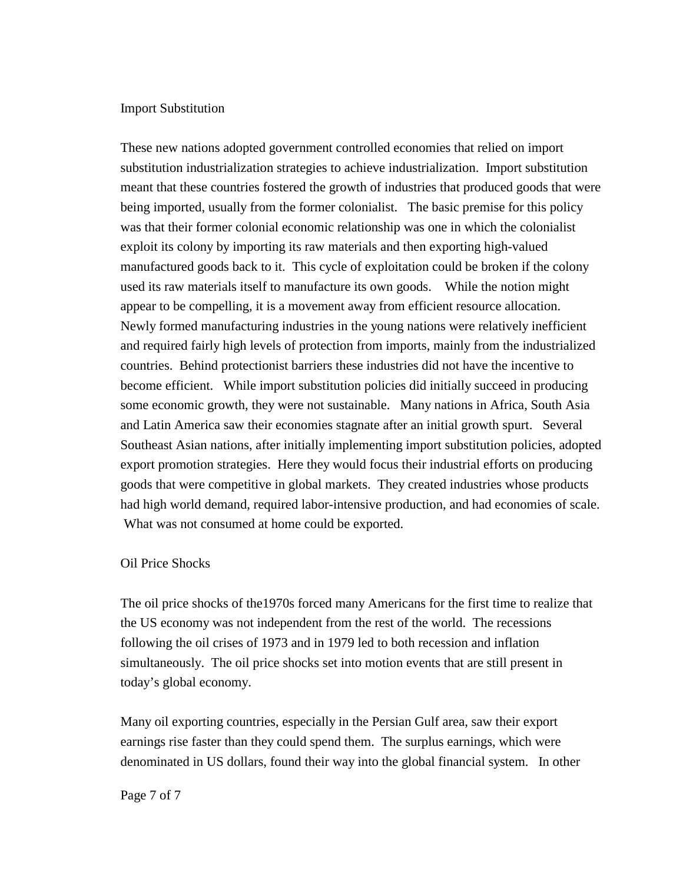### Import Substitution

These new nations adopted government controlled economies that relied on import substitution industrialization strategies to achieve industrialization. Import substitution meant that these countries fostered the growth of industries that produced goods that were being imported, usually from the former colonialist. The basic premise for this policy was that their former colonial economic relationship was one in which the colonialist exploit its colony by importing its raw materials and then exporting high-valued manufactured goods back to it. This cycle of exploitation could be broken if the colony used its raw materials itself to manufacture its own goods. While the notion might appear to be compelling, it is a movement away from efficient resource allocation. Newly formed manufacturing industries in the young nations were relatively inefficient and required fairly high levels of protection from imports, mainly from the industrialized countries. Behind protectionist barriers these industries did not have the incentive to become efficient. While import substitution policies did initially succeed in producing some economic growth, they were not sustainable. Many nations in Africa, South Asia and Latin America saw their economies stagnate after an initial growth spurt. Several Southeast Asian nations, after initially implementing import substitution policies, adopted export promotion strategies. Here they would focus their industrial efforts on producing goods that were competitive in global markets. They created industries whose products had high world demand, required labor-intensive production, and had economies of scale. What was not consumed at home could be exported.

### Oil Price Shocks

The oil price shocks of the1970s forced many Americans for the first time to realize that the US economy was not independent from the rest of the world. The recessions following the oil crises of 1973 and in 1979 led to both recession and inflation simultaneously. The oil price shocks set into motion events that are still present in today's global economy.

Many oil exporting countries, especially in the Persian Gulf area, saw their export earnings rise faster than they could spend them. The surplus earnings, which were denominated in US dollars, found their way into the global financial system. In other

#### Page 7 of 7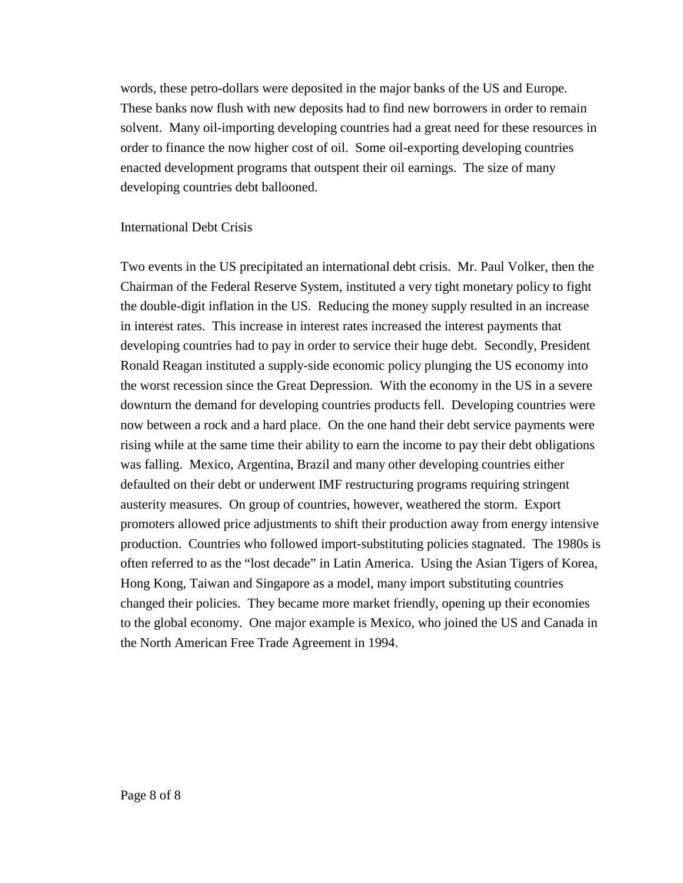words, these petro-dollars were deposited in the major banks of the US and Europe. These banks now flush with new deposits had to find new borrowers in order to remain solvent. Many oil-importing developing countries had a great need for these resources in order to finance the now higher cost of oil. Some oil-exporting developing countries enacted development programs that outspent their oil earnings. The size of many developing countries debt ballooned.

## International Debt Crisis

Two events in the US precipitated an international debt crisis. Mr. Paul Volker, then the Chairman of the Federal Reserve System, instituted a very tight monetary policy to fight the double-digit inflation in the US. Reducing the money supply resulted in an increase in interest rates. This increase in interest rates increased the interest payments that developing countries had to pay in order to service their huge debt. Secondly, President Ronald Reagan instituted a supply-side economic policy plunging the US economy into the worst recession since the Great Depression. With the economy in the US in a severe downturn the demand for developing countries products fell. Developing countries were now between a rock and a hard place. On the one hand their debt service payments were rising while at the same time their ability to earn the income to pay their debt obligations was falling. Mexico, Argentina, Brazil and many other developing countries either defaulted on their debt or underwent IMF restructuring programs requiring stringent austerity measures. On group of countries, however, weathered the storm. Export promoters allowed price adjustments to shift their production away from energy intensive production. Countries who followed import-substituting policies stagnated. The 1980s is often referred to as the "lost decade" in Latin America. Using the Asian Tigers of Korea, Hong Kong, Taiwan and Singapore as a model, many import substituting countries changed their policies. They became more market friendly, opening up their economies to the global economy. One major example is Mexico, who joined the US and Canada in the North American Free Trade Agreement in 1994.